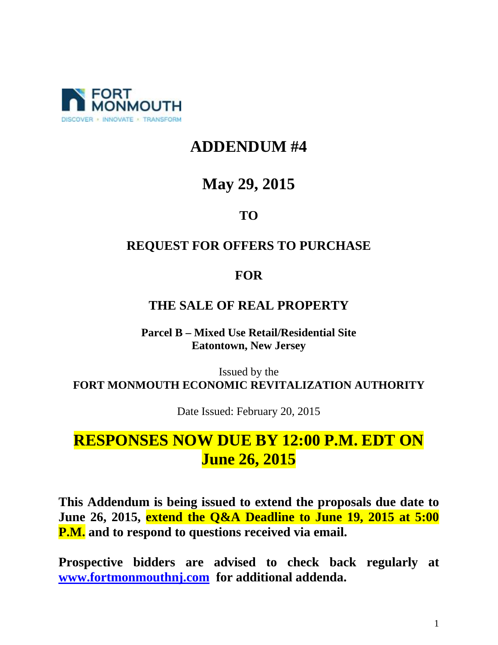

# **ADDENDUM #4**

# **May 29, 2015**

### **TO**

#### **REQUEST FOR OFFERS TO PURCHASE**

#### **FOR**

#### **THE SALE OF REAL PROPERTY**

**Parcel B – Mixed Use Retail/Residential Site Eatontown, New Jersey** 

Issued by the **FORT MONMOUTH ECONOMIC REVITALIZATION AUTHORITY** 

Date Issued: February 20, 2015

# **RESPONSES NOW DUE BY 12:00 P.M. EDT ON June 26, 2015**

**This Addendum is being issued to extend the proposals due date to June 26, 2015, extend the Q&A Deadline to June 19, 2015 at 5:00 P.M. and to respond to questions received via email.** 

**Prospective bidders are advised to check back regularly at www.fortmonmouthnj.com for additional addenda.**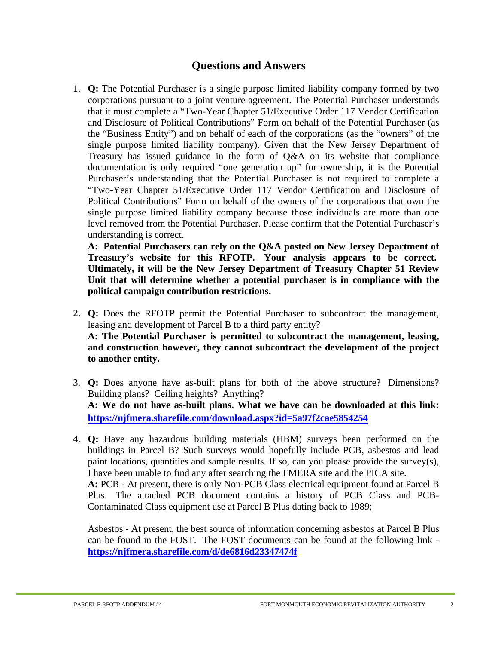#### **Questions and Answers**

1. **Q:** The Potential Purchaser is a single purpose limited liability company formed by two corporations pursuant to a joint venture agreement. The Potential Purchaser understands that it must complete a "Two-Year Chapter 51/Executive Order 117 Vendor Certification and Disclosure of Political Contributions" Form on behalf of the Potential Purchaser (as the "Business Entity") and on behalf of each of the corporations (as the "owners" of the single purpose limited liability company). Given that the New Jersey Department of Treasury has issued guidance in the form of Q&A on its website that compliance documentation is only required "one generation up" for ownership, it is the Potential Purchaser's understanding that the Potential Purchaser is not required to complete a "Two-Year Chapter 51/Executive Order 117 Vendor Certification and Disclosure of Political Contributions" Form on behalf of the owners of the corporations that own the single purpose limited liability company because those individuals are more than one level removed from the Potential Purchaser. Please confirm that the Potential Purchaser's understanding is correct.

**A: Potential Purchasers can rely on the Q&A posted on New Jersey Department of Treasury's website for this RFOTP. Your analysis appears to be correct. Ultimately, it will be the New Jersey Department of Treasury Chapter 51 Review Unit that will determine whether a potential purchaser is in compliance with the political campaign contribution restrictions.**

- **2. Q:** Does the RFOTP permit the Potential Purchaser to subcontract the management, leasing and development of Parcel B to a third party entity? **A: The Potential Purchaser is permitted to subcontract the management, leasing, and construction however, they cannot subcontract the development of the project to another entity.**
- 3. **Q:** Does anyone have as-built plans for both of the above structure? Dimensions? Building plans? Ceiling heights? Anything? **A: We do not have as-built plans. What we have can be downloaded at this link: https://njfmera.sharefile.com/download.aspx?id=5a97f2cae5854254**
- 4. **Q:** Have any hazardous building materials (HBM) surveys been performed on the buildings in Parcel B? Such surveys would hopefully include PCB, asbestos and lead paint locations, quantities and sample results. If so, can you please provide the survey(s), I have been unable to find any after searching the FMERA site and the PICA site. **A:** PCB - At present, there is only Non-PCB Class electrical equipment found at Parcel B Plus. The attached PCB document contains a history of PCB Class and PCB-Contaminated Class equipment use at Parcel B Plus dating back to 1989;

Asbestos - At present, the best source of information concerning asbestos at Parcel B Plus can be found in the FOST. The FOST documents can be found at the following link **https://njfmera.sharefile.com/d/de6816d23347474f**